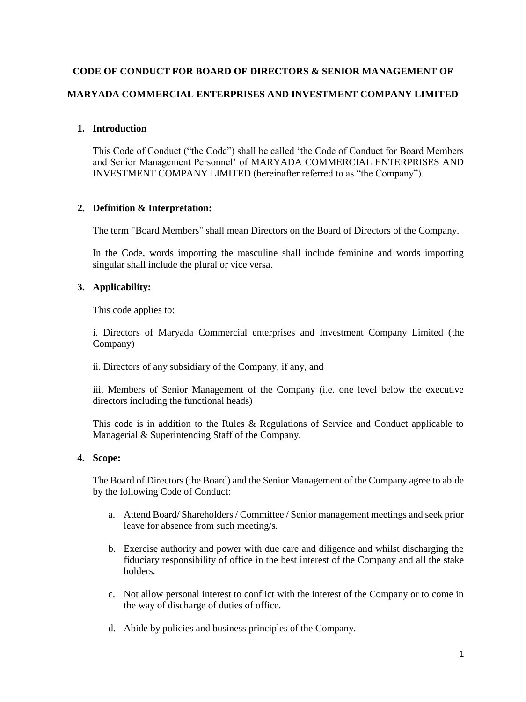# **CODE OF CONDUCT FOR BOARD OF DIRECTORS & SENIOR MANAGEMENT OF MARYADA COMMERCIAL ENTERPRISES AND INVESTMENT COMPANY LIMITED**

# **1. Introduction**

This Code of Conduct ("the Code") shall be called 'the Code of Conduct for Board Members and Senior Management Personnel' of MARYADA COMMERCIAL ENTERPRISES AND INVESTMENT COMPANY LIMITED (hereinafter referred to as "the Company").

# **2. Definition & Interpretation:**

The term "Board Members" shall mean Directors on the Board of Directors of the Company.

In the Code, words importing the masculine shall include feminine and words importing singular shall include the plural or vice versa.

# **3. Applicability:**

This code applies to:

i. Directors of Maryada Commercial enterprises and Investment Company Limited (the Company)

ii. Directors of any subsidiary of the Company, if any, and

iii. Members of Senior Management of the Company (i.e. one level below the executive directors including the functional heads)

This code is in addition to the Rules & Regulations of Service and Conduct applicable to Managerial & Superintending Staff of the Company.

# **4. Scope:**

The Board of Directors (the Board) and the Senior Management of the Company agree to abide by the following Code of Conduct:

- a. Attend Board/ Shareholders / Committee / Senior management meetings and seek prior leave for absence from such meeting/s.
- b. Exercise authority and power with due care and diligence and whilst discharging the fiduciary responsibility of office in the best interest of the Company and all the stake holders.
- c. Not allow personal interest to conflict with the interest of the Company or to come in the way of discharge of duties of office.
- d. Abide by policies and business principles of the Company.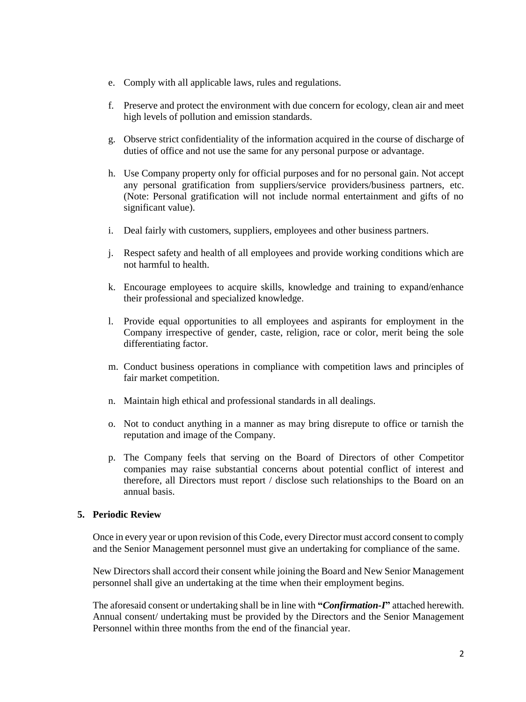- e. Comply with all applicable laws, rules and regulations.
- f. Preserve and protect the environment with due concern for ecology, clean air and meet high levels of pollution and emission standards.
- g. Observe strict confidentiality of the information acquired in the course of discharge of duties of office and not use the same for any personal purpose or advantage.
- h. Use Company property only for official purposes and for no personal gain. Not accept any personal gratification from suppliers/service providers/business partners, etc. (Note: Personal gratification will not include normal entertainment and gifts of no significant value).
- i. Deal fairly with customers, suppliers, employees and other business partners.
- j. Respect safety and health of all employees and provide working conditions which are not harmful to health.
- k. Encourage employees to acquire skills, knowledge and training to expand/enhance their professional and specialized knowledge.
- l. Provide equal opportunities to all employees and aspirants for employment in the Company irrespective of gender, caste, religion, race or color, merit being the sole differentiating factor.
- m. Conduct business operations in compliance with competition laws and principles of fair market competition.
- n. Maintain high ethical and professional standards in all dealings.
- o. Not to conduct anything in a manner as may bring disrepute to office or tarnish the reputation and image of the Company.
- p. The Company feels that serving on the Board of Directors of other Competitor companies may raise substantial concerns about potential conflict of interest and therefore, all Directors must report / disclose such relationships to the Board on an annual basis.

#### **5. Periodic Review**

Once in every year or upon revision of this Code, every Director must accord consent to comply and the Senior Management personnel must give an undertaking for compliance of the same.

New Directors shall accord their consent while joining the Board and New Senior Management personnel shall give an undertaking at the time when their employment begins.

The aforesaid consent or undertaking shall be in line with **"***Confirmation-I***"** attached herewith. Annual consent/ undertaking must be provided by the Directors and the Senior Management Personnel within three months from the end of the financial year.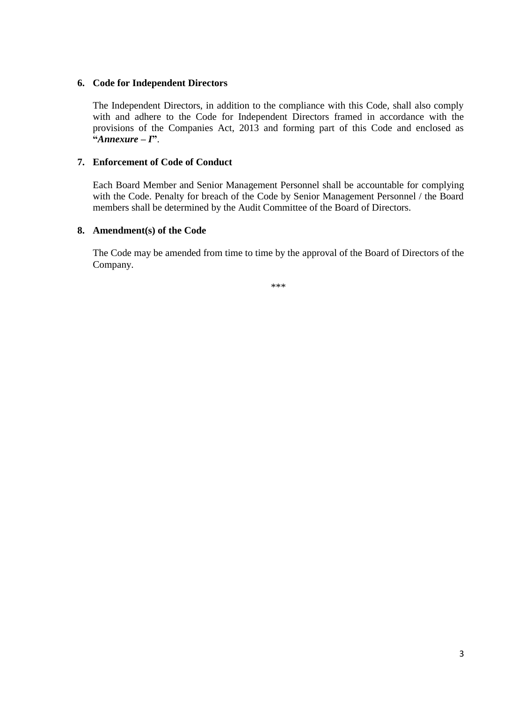## **6. Code for Independent Directors**

The Independent Directors, in addition to the compliance with this Code, shall also comply with and adhere to the Code for Independent Directors framed in accordance with the provisions of the Companies Act, 2013 and forming part of this Code and enclosed as **"***Annexure – I***"**.

# **7. Enforcement of Code of Conduct**

Each Board Member and Senior Management Personnel shall be accountable for complying with the Code. Penalty for breach of the Code by Senior Management Personnel / the Board members shall be determined by the Audit Committee of the Board of Directors.

# **8. Amendment(s) of the Code**

The Code may be amended from time to time by the approval of the Board of Directors of the Company.

\*\*\*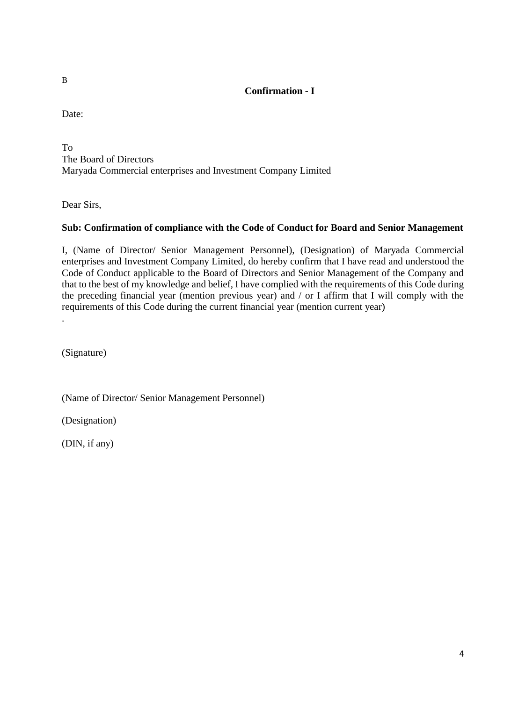# **Confirmation - I**

Date:

To The Board of Directors Maryada Commercial enterprises and Investment Company Limited

Dear Sirs,

# **Sub: Confirmation of compliance with the Code of Conduct for Board and Senior Management**

I, (Name of Director/ Senior Management Personnel), (Designation) of Maryada Commercial enterprises and Investment Company Limited, do hereby confirm that I have read and understood the Code of Conduct applicable to the Board of Directors and Senior Management of the Company and that to the best of my knowledge and belief, I have complied with the requirements of this Code during the preceding financial year (mention previous year) and / or I affirm that I will comply with the requirements of this Code during the current financial year (mention current year)

(Signature)

.

(Name of Director/ Senior Management Personnel)

(Designation)

(DIN, if any)

B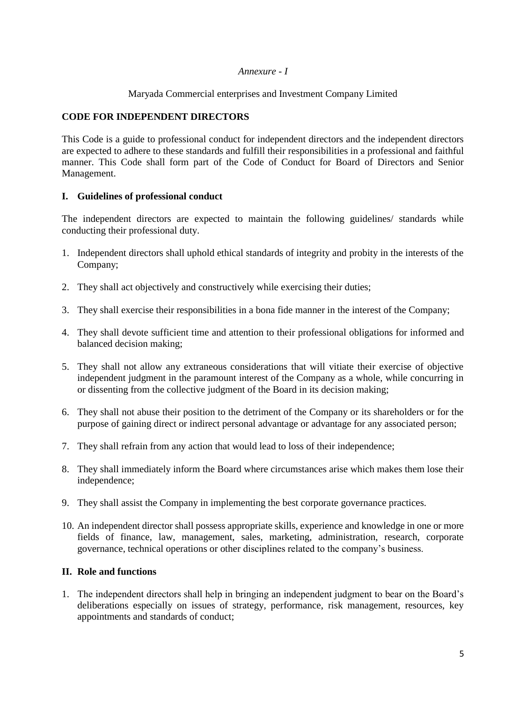# *Annexure - I*

Maryada Commercial enterprises and Investment Company Limited

# **CODE FOR INDEPENDENT DIRECTORS**

This Code is a guide to professional conduct for independent directors and the independent directors are expected to adhere to these standards and fulfill their responsibilities in a professional and faithful manner. This Code shall form part of the Code of Conduct for Board of Directors and Senior Management.

# **I. Guidelines of professional conduct**

The independent directors are expected to maintain the following guidelines/ standards while conducting their professional duty.

- 1. Independent directors shall uphold ethical standards of integrity and probity in the interests of the Company;
- 2. They shall act objectively and constructively while exercising their duties;
- 3. They shall exercise their responsibilities in a bona fide manner in the interest of the Company;
- 4. They shall devote sufficient time and attention to their professional obligations for informed and balanced decision making;
- 5. They shall not allow any extraneous considerations that will vitiate their exercise of objective independent judgment in the paramount interest of the Company as a whole, while concurring in or dissenting from the collective judgment of the Board in its decision making;
- 6. They shall not abuse their position to the detriment of the Company or its shareholders or for the purpose of gaining direct or indirect personal advantage or advantage for any associated person;
- 7. They shall refrain from any action that would lead to loss of their independence;
- 8. They shall immediately inform the Board where circumstances arise which makes them lose their independence;
- 9. They shall assist the Company in implementing the best corporate governance practices.
- 10. An independent director shall possess appropriate skills, experience and knowledge in one or more fields of finance, law, management, sales, marketing, administration, research, corporate governance, technical operations or other disciplines related to the company's business.

#### **II. Role and functions**

1. The independent directors shall help in bringing an independent judgment to bear on the Board's deliberations especially on issues of strategy, performance, risk management, resources, key appointments and standards of conduct;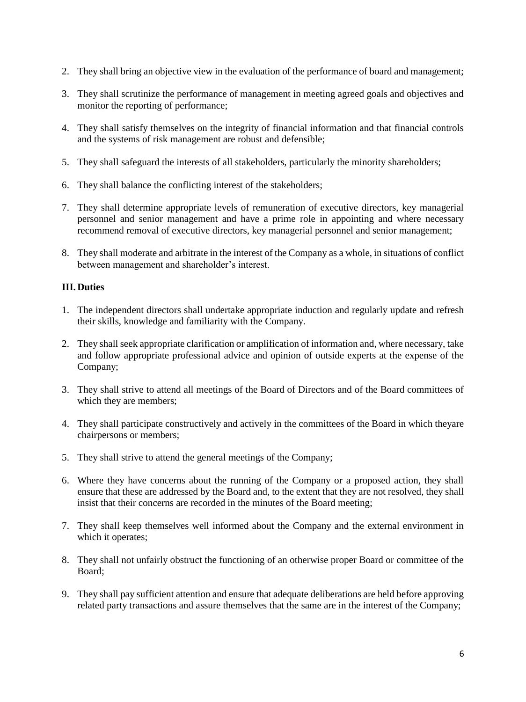- 2. They shall bring an objective view in the evaluation of the performance of board and management;
- 3. They shall scrutinize the performance of management in meeting agreed goals and objectives and monitor the reporting of performance;
- 4. They shall satisfy themselves on the integrity of financial information and that financial controls and the systems of risk management are robust and defensible;
- 5. They shall safeguard the interests of all stakeholders, particularly the minority shareholders;
- 6. They shall balance the conflicting interest of the stakeholders;
- 7. They shall determine appropriate levels of remuneration of executive directors, key managerial personnel and senior management and have a prime role in appointing and where necessary recommend removal of executive directors, key managerial personnel and senior management;
- 8. They shall moderate and arbitrate in the interest of the Company as a whole, in situations of conflict between management and shareholder's interest.

# **III. Duties**

- 1. The independent directors shall undertake appropriate induction and regularly update and refresh their skills, knowledge and familiarity with the Company.
- 2. They shall seek appropriate clarification or amplification of information and, where necessary, take and follow appropriate professional advice and opinion of outside experts at the expense of the Company;
- 3. They shall strive to attend all meetings of the Board of Directors and of the Board committees of which they are members;
- 4. They shall participate constructively and actively in the committees of the Board in which theyare chairpersons or members;
- 5. They shall strive to attend the general meetings of the Company;
- 6. Where they have concerns about the running of the Company or a proposed action, they shall ensure that these are addressed by the Board and, to the extent that they are not resolved, they shall insist that their concerns are recorded in the minutes of the Board meeting;
- 7. They shall keep themselves well informed about the Company and the external environment in which it operates;
- 8. They shall not unfairly obstruct the functioning of an otherwise proper Board or committee of the Board;
- 9. They shall pay sufficient attention and ensure that adequate deliberations are held before approving related party transactions and assure themselves that the same are in the interest of the Company;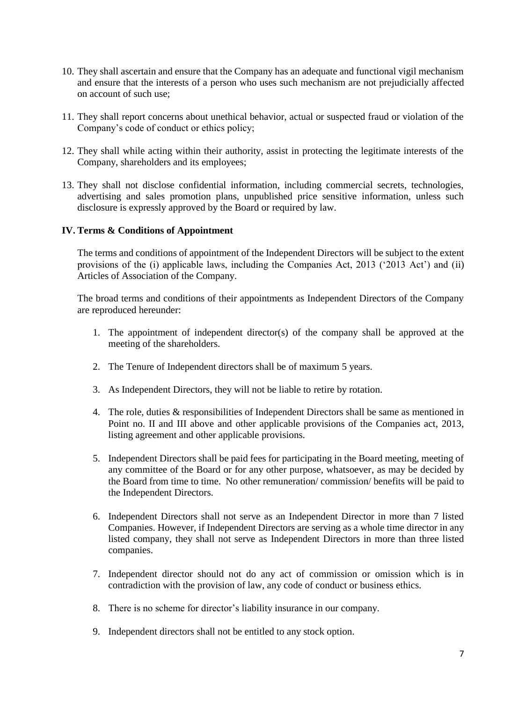- 10. They shall ascertain and ensure that the Company has an adequate and functional vigil mechanism and ensure that the interests of a person who uses such mechanism are not prejudicially affected on account of such use;
- 11. They shall report concerns about unethical behavior, actual or suspected fraud or violation of the Company's code of conduct or ethics policy;
- 12. They shall while acting within their authority, assist in protecting the legitimate interests of the Company, shareholders and its employees;
- 13. They shall not disclose confidential information, including commercial secrets, technologies, advertising and sales promotion plans, unpublished price sensitive information, unless such disclosure is expressly approved by the Board or required by law.

#### **IV. Terms & Conditions of Appointment**

The terms and conditions of appointment of the Independent Directors will be subject to the extent provisions of the (i) applicable laws, including the Companies Act, 2013 ('2013 Act') and (ii) Articles of Association of the Company.

The broad terms and conditions of their appointments as Independent Directors of the Company are reproduced hereunder:

- 1. The appointment of independent director(s) of the company shall be approved at the meeting of the shareholders.
- 2. The Tenure of Independent directors shall be of maximum 5 years.
- 3. As Independent Directors, they will not be liable to retire by rotation.
- 4. The role, duties & responsibilities of Independent Directors shall be same as mentioned in Point no. II and III above and other applicable provisions of the Companies act, 2013, listing agreement and other applicable provisions.
- 5. Independent Directors shall be paid fees for participating in the Board meeting, meeting of any committee of the Board or for any other purpose, whatsoever, as may be decided by the Board from time to time. No other remuneration/ commission/ benefits will be paid to the Independent Directors.
- 6. Independent Directors shall not serve as an Independent Director in more than 7 listed Companies. However, if Independent Directors are serving as a whole time director in any listed company, they shall not serve as Independent Directors in more than three listed companies.
- 7. Independent director should not do any act of commission or omission which is in contradiction with the provision of law, any code of conduct or business ethics.
- 8. There is no scheme for director's liability insurance in our company.
- 9. Independent directors shall not be entitled to any stock option.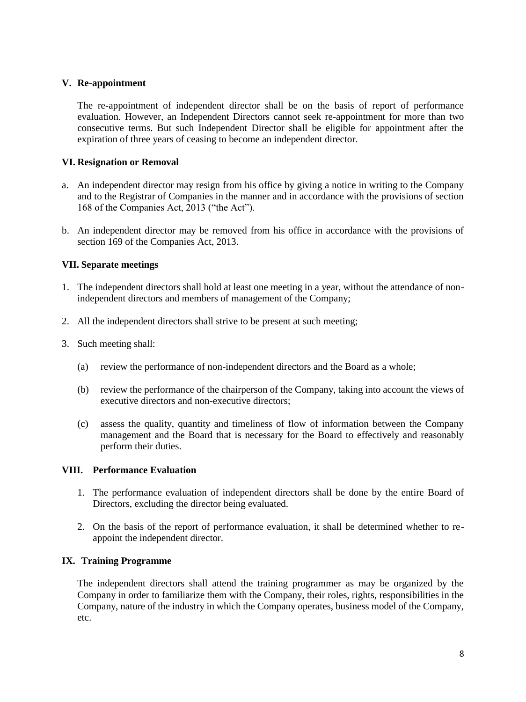# **V. Re-appointment**

The re-appointment of independent director shall be on the basis of report of performance evaluation. However, an Independent Directors cannot seek re-appointment for more than two consecutive terms. But such Independent Director shall be eligible for appointment after the expiration of three years of ceasing to become an independent director.

# **VI. Resignation or Removal**

- a. An independent director may resign from his office by giving a notice in writing to the Company and to the Registrar of Companies in the manner and in accordance with the provisions of section 168 of the Companies Act, 2013 ("the Act").
- b. An independent director may be removed from his office in accordance with the provisions of section 169 of the Companies Act, 2013.

# **VII. Separate meetings**

- 1. The independent directors shall hold at least one meeting in a year, without the attendance of nonindependent directors and members of management of the Company;
- 2. All the independent directors shall strive to be present at such meeting;
- 3. Such meeting shall:
	- (a) review the performance of non-independent directors and the Board as a whole;
	- (b) review the performance of the chairperson of the Company, taking into account the views of executive directors and non-executive directors;
	- (c) assess the quality, quantity and timeliness of flow of information between the Company management and the Board that is necessary for the Board to effectively and reasonably perform their duties.

#### **VIII. Performance Evaluation**

- 1. The performance evaluation of independent directors shall be done by the entire Board of Directors, excluding the director being evaluated.
- 2. On the basis of the report of performance evaluation, it shall be determined whether to reappoint the independent director.

#### **IX. Training Programme**

The independent directors shall attend the training programmer as may be organized by the Company in order to familiarize them with the Company, their roles, rights, responsibilities in the Company, nature of the industry in which the Company operates, business model of the Company, etc.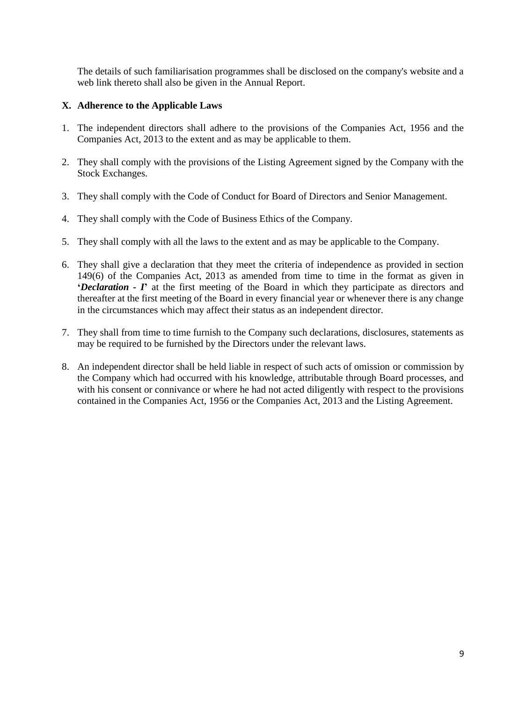The details of such familiarisation programmes shall be disclosed on the company's website and a web link thereto shall also be given in the Annual Report.

# **X. Adherence to the Applicable Laws**

- 1. The independent directors shall adhere to the provisions of the Companies Act, 1956 and the Companies Act, 2013 to the extent and as may be applicable to them.
- 2. They shall comply with the provisions of the Listing Agreement signed by the Company with the Stock Exchanges.
- 3. They shall comply with the Code of Conduct for Board of Directors and Senior Management.
- 4. They shall comply with the Code of Business Ethics of the Company.
- 5. They shall comply with all the laws to the extent and as may be applicable to the Company.
- 6. They shall give a declaration that they meet the criteria of independence as provided in section 149(6) of the Companies Act, 2013 as amended from time to time in the format as given in **'***Declaration - I***'** at the first meeting of the Board in which they participate as directors and thereafter at the first meeting of the Board in every financial year or whenever there is any change in the circumstances which may affect their status as an independent director.
- 7. They shall from time to time furnish to the Company such declarations, disclosures, statements as may be required to be furnished by the Directors under the relevant laws.
- 8. An independent director shall be held liable in respect of such acts of omission or commission by the Company which had occurred with his knowledge, attributable through Board processes, and with his consent or connivance or where he had not acted diligently with respect to the provisions contained in the Companies Act, 1956 or the Companies Act, 2013 and the Listing Agreement.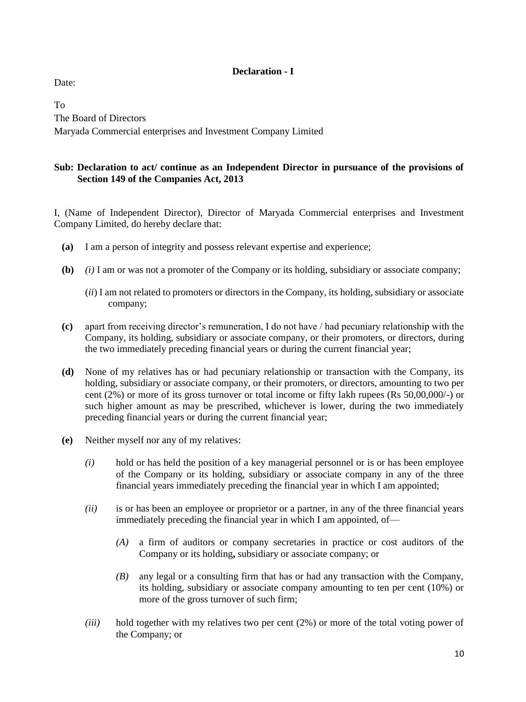# **Declaration - I**

Date:

To The Board of Directors Maryada Commercial enterprises and Investment Company Limited

# **Sub: Declaration to act/ continue as an Independent Director in pursuance of the provisions of Section 149 of the Companies Act, 2013**

I, (Name of Independent Director), Director of Maryada Commercial enterprises and Investment Company Limited, do hereby declare that:

- **(a)** I am a person of integrity and possess relevant expertise and experience;
- **(b)** *(i)* I am or was not a promoter of the Company or its holding, subsidiary or associate company;
	- (*ii*) I am not related to promoters or directors in the Company, its holding, subsidiary or associate company;
- **(c)** apart from receiving director's remuneration, I do not have / had pecuniary relationship with the Company, its holding, subsidiary or associate company, or their promoters, or directors, during the two immediately preceding financial years or during the current financial year;
- **(d)** None of my relatives has or had pecuniary relationship or transaction with the Company, its holding, subsidiary or associate company, or their promoters, or directors, amounting to two per cent (2%) or more of its gross turnover or total income or fifty lakh rupees (Rs 50,00,000/-) or such higher amount as may be prescribed, whichever is lower, during the two immediately preceding financial years or during the current financial year;
- **(e)** Neither myself nor any of my relatives:
	- *(i)* hold or has held the position of a key managerial personnel or is or has been employee of the Company or its holding, subsidiary or associate company in any of the three financial years immediately preceding the financial year in which I am appointed;
	- *(ii)* is or has been an employee or proprietor or a partner, in any of the three financial years immediately preceding the financial year in which I am appointed, of—
		- *(A)* a firm of auditors or company secretaries in practice or cost auditors of the Company or its holding**,** subsidiary or associate company; or
		- *(B)* any legal or a consulting firm that has or had any transaction with the Company, its holding, subsidiary or associate company amounting to ten per cent (10%) or more of the gross turnover of such firm;
	- *(iii)* hold together with my relatives two per cent (2%) or more of the total voting power of the Company; or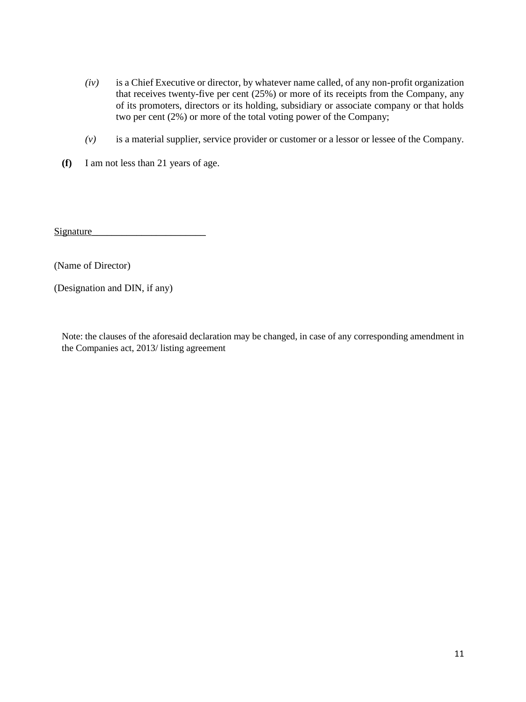- *(iv)* is a Chief Executive or director, by whatever name called, of any non-profit organization that receives twenty-five per cent (25%) or more of its receipts from the Company, any of its promoters, directors or its holding, subsidiary or associate company or that holds two per cent (2%) or more of the total voting power of the Company;
- *(v)* is a material supplier, service provider or customer or a lessor or lessee of the Company.
- **(f)** I am not less than 21 years of age.

Signature\_\_\_\_\_\_\_\_\_\_\_\_\_\_\_\_\_\_\_\_\_\_\_

(Name of Director)

(Designation and DIN, if any)

Note: the clauses of the aforesaid declaration may be changed, in case of any corresponding amendment in the Companies act, 2013/ listing agreement